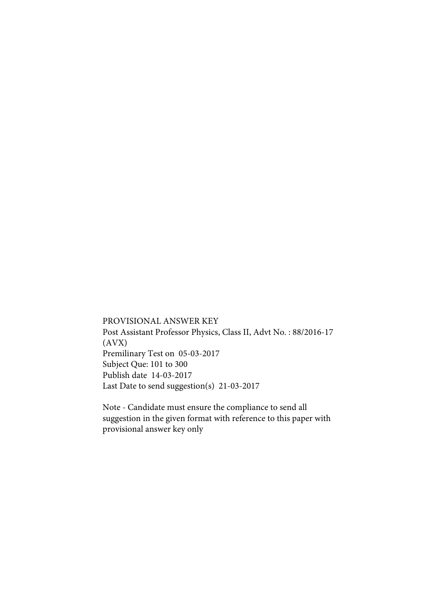PROVISIONAL ANSWER KEY Post Assistant Professor Physics, Class II, Advt No. : 88/2016-17 (AVX) Premilinary Test on 05-03-2017 Subject Que: 101 to 300 Publish date 14-03-2017 Last Date to send suggestion(s) 21-03-2017

Note - Candidate must ensure the compliance to send all suggestion in the given format with reference to this paper with provisional answer key only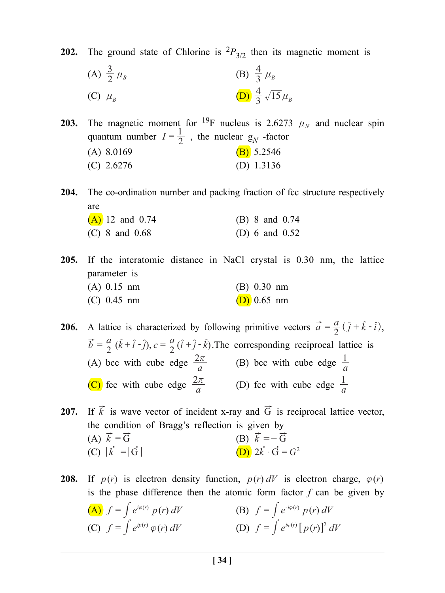**202.** The ground state of Chlorine is  ${}^{2}P_{3/2}$  then its magnetic moment is

(A) 
$$
\frac{3}{2} \mu_B
$$
  
\n(B)  $\frac{4}{3} \mu_B$   
\n(C)  $\mu_B$   
\n(D)  $\frac{4}{3} \sqrt{15} \mu_B$ 

**203.** The magnetic moment for <sup>19</sup>F nucleus is 2.6273  $\mu_N$  and nuclear spin quantum number  $I = \frac{1}{2}$ , the nuclear  $g_N$  -factor (A) 8.0169 (B) 5.2546

(C) 2.6276 (D) 1.3136

**204.** The co-ordination number and packing fraction of fcc structure respectively are

(A) 12 and 0.74 (B) 8 and 0.74 (C) 8 and 0.68 (D) 6 and 0.52

**205.** If the interatomic distance in NaCl crystal is 0.30 nm, the lattice parameter is (A) 0.15 nm (B) 0.30 nm (C) 0.45 nm (D) 0.65 nm

**206.** A lattice is characterized by following primitive vectors  $\vec{a} = \frac{a}{2} (\hat{j} + \hat{k} - \hat{i}),$  $\vec{b} = \frac{a}{2} (\hat{k} + \hat{i} - \hat{j}), c = \frac{a}{2} (\hat{i} + \hat{j} - \hat{k}).$  The corresponding reciprocal lattice is (A) bcc with cube edge  $\frac{2\pi}{a}$  (B) bcc with cube edge  $\frac{1}{a}$ (C) fcc with cube edge  $\frac{2\pi}{a}$  (D) fcc with cube edge  $\frac{1}{a}$ 

**207.** If  $\vec{k}$  is wave vector of incident x-ray and  $\vec{G}$  is reciprocal lattice vector, the condition of Bragg's reflection is given by (A)  $\vec{k} = \vec{G}$  (B)  $\vec{k} = -\vec{G}$ (C)  $|\vec{k}| = |\vec{G}|$  (D)  $2\vec{k} \cdot \vec{G} = G^2$ 

**208.** If  $p(r)$  is electron density function,  $p(r) dV$  is electron charge,  $\varphi(r)$ is the phase difference then the atomic form factor *f* can be given by

\n
$$
\begin{aligned}\n &\text{(A)} \ f = \int e^{i\varphi(r)} \ p(r) \, dV \\
&\text{(B)} \ f = \int e^{i\varphi(r)} \ p(r) \, dV \\
&\text{(C)} \ f = \int e^{i\varphi(r)} \ \varphi(r) \, dV \\
&\text{(D)} \ f = \int e^{i\varphi(r)} \left[ \ p(r) \right]^2 \, dV\n \end{aligned}
$$
\n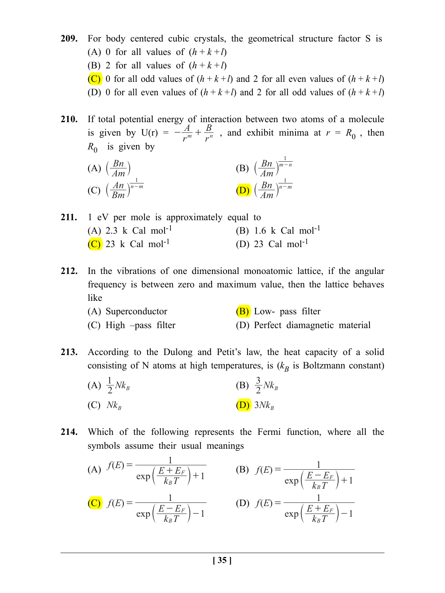- **209.** For body centered cubic crystals, the geometrical structure factor S is (A) 0 for all values of  $(h + k + l)$ 
	- (B) 2 for all values of  $(h + k + l)$
	- (C) 0 for all odd values of  $(h + k + l)$  and 2 for all even values of  $(h + k + l)$
	- (D) 0 for all even values of  $(h + k + l)$  and 2 for all odd values of  $(h + k + l)$
- **210.** If total potential energy of interaction between two atoms of a molecule is given by  $U(r) = -\frac{A}{r^n}$  $-\frac{A}{r^m} + \frac{B}{r^n}$ , and exhibit minima at  $r = R_0$ , then  $R_0$  is given by

(A) 
$$
\left(\frac{Bn}{Am}\right)
$$
  
\n(B)  $\left(\frac{Bn}{Am}\right)^{\frac{1}{m-n}}$   
\n(C)  $\left(\frac{An}{Bm}\right)^{\frac{1}{n-m}}$   
\n(D)  $\left(\frac{Bn}{Am}\right)^{\frac{1}{n-m}}$ 

- **211.** 1 eV per mole is approximately equal to (A) 2.3 k Cal mol<sup>-1</sup> (B) 1.6 k Cal mol<sup>-1</sup> (C) 23 k Cal mol<sup>-1</sup> (D) 23 Cal mol<sup>-1</sup>
- **212.** In the vibrations of one dimensional monoatomic lattice, if the angular frequency is between zero and maximum value, then the lattice behaves like
	- (A) Superconductor  $(B)$  Low- pass filter
	- (C) High –pass filter (D) Perfect diamagnetic material
- **213.** According to the Dulong and Petit's law, the heat capacity of a solid consisting of N atoms at high temperatures, is  $(k_B$  is Boltzmann constant)
	- $(A) \frac{1}{2}Nk$ *B* (B)  $\frac{3}{2}Nk$ *B* (C)  $Nk_B$  (D)  $3Nk_B$
- **214.** Which of the following represents the Fermi function, where all the symbols assume their usual meanings

(A) 
$$
f(E) = \frac{1}{\exp(\frac{E + E_F}{k_B T}) + 1}
$$
 (B)  $f(E) = \frac{1}{\exp(\frac{E - E_F}{k_B T}) + 1}$   
\n(C)  $f(E) = \frac{1}{\exp(\frac{E - E_F}{k_B T}) - 1}$  (D)  $f(E) = \frac{1}{\exp(\frac{E + E_F}{k_B T}) - 1}$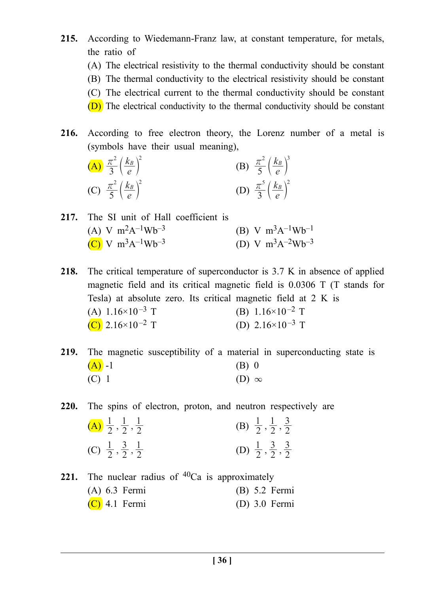- **215.** According to Wiedemann-Franz law, at constant temperature, for metals, the ratio of
	- (A) The electrical resistivity to the thermal conductivity should be constant
	- (B) The thermal conductivity to the electrical resistivity should be constant
	- (C) The electrical current to the thermal conductivity should be constant
	- (D) The electrical conductivity to the thermal conductivity should be constant
- **216.** According to free electron theory, the Lorenz number of a metal is (symbols have their usual meaning),
	- $\left(\mathbf{A}\right) \frac{\pi^2}{3} \left(\frac{k_B}{e}\right)$ 3  $\pi^2$   $(k_B)^2$  $\left(\frac{k_B}{e}\right)^2$  (B)  $\frac{\pi^2}{5} \left(\frac{k_B}{e}\right)$ 5  $\pi^2$   $\left(k_B\right)^3$  $\left(\frac{N_D}{\rho}\right)$ (C)  $\frac{\pi^2}{5} \left( \frac{k_l}{e} \right)$ 5  $\pi^2$   $(k_B)^2$  $\left(\frac{k_B}{e}\right)^2$  (D)  $\frac{\pi^5}{3} \left(\frac{k_B}{e}\right)$ 3  $\pi^5$   $(k_B)^2$  $\left(\frac{np}{\rho}\right)$
- **217.** The SI unit of Hall coefficient is (A) V  $m^2A^{-1}Wb^{-3}$  (B) V  $m^3A^{-1}Wb^{-1}$ (C) V  $m^3A^{-1}Wb^{-3}$  (D) V  $m^3A^{-2}Wb^{-3}$

**218.** The critical temperature of superconductor is 3.7 K in absence of applied magnetic field and its critical magnetic field is 0.0306 T (T stands for Tesla) at absolute zero. Its critical magnetic field at 2 K is (A)  $1.16 \times 10^{-3}$  T (B)  $1.16 \times 10^{-2}$  T (C)  $2.16 \times 10^{-2}$  T (D)  $2.16 \times 10^{-3}$  T

**219.** The magnetic susceptibility of a material in superconducting state is  $(A)$  -1 (B) 0 (C) 1 (D)  $\infty$ 

**220.** The spins of electron, proton, and neutron respectively are

| (A) $\frac{1}{2}$ , $\frac{1}{2}$ , $\frac{1}{2}$ | (B) $\frac{1}{2}, \frac{1}{2}, \frac{3}{2}$ |  |
|---------------------------------------------------|---------------------------------------------|--|
| (C) $\frac{1}{2}, \frac{3}{2}, \frac{1}{2}$       | (D) $\frac{1}{2}, \frac{3}{2}, \frac{3}{2}$ |  |

**221.** The nuclear radius of  ${}^{40}$ Ca is approximately (A) 6.3 Fermi (B) 5.2 Fermi  $(C)$  4.1 Fermi (D) 3.0 Fermi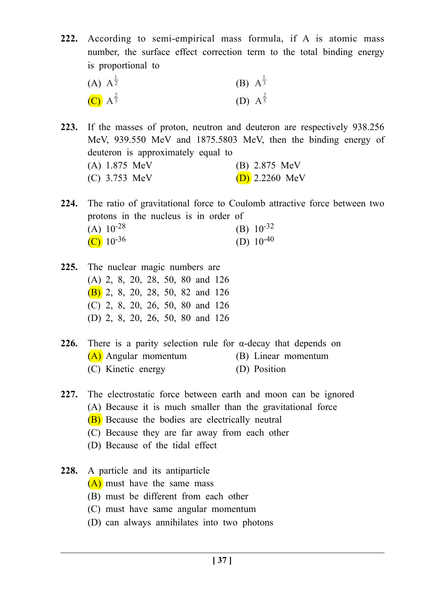- **222.** According to semi-empirical mass formula, if A is atomic mass number, the surface effect correction term to the total binding energy is proportional to
	- (A)  $A^{\frac{1}{2}}$ (B)  $A^{\frac{1}{3}}$  $\overline{\text{C}}$   $A^{\frac{2}{3}}$ (D)  $A^{\frac{2}{5}}$
- **223.** If the masses of proton, neutron and deuteron are respectively 938.256 MeV, 939.550 MeV and 1875.5803 MeV, then the binding energy of deuteron is approximately equal to (A) 1.875 MeV (B) 2.875 MeV (C) 3.753 MeV (D) 2.2260 MeV

**224.** The ratio of gravitational force to Coulomb attractive force between two protons in the nucleus is in order of (A)  $10^{-28}$  (B)  $10^{-32}$ <br>(C)  $10^{-36}$  (D)  $10^{-40}$  $(C)$  10<sup>-36</sup>

- **225.** The nuclear magic numbers are (A) 2, 8, 20, 28, 50, 80 and 126 (B) 2, 8, 20, 28, 50, 82 and 126 (C) 2, 8, 20, 26, 50, 80 and 126 (D) 2, 8, 20, 26, 50, 80 and 126
- **226.** There is a parity selection rule for α-decay that depends on (A) Angular momentum (B) Linear momentum (C) Kinetic energy (D) Position
- **227.** The electrostatic force between earth and moon can be ignored (A) Because it is much smaller than the gravitational force (B) Because the bodies are electrically neutral (C) Because they are far away from each other
	- (D) Because of the tidal effect
- **228.** A particle and its antiparticle
	- (A) must have the same mass
	- (B) must be different from each other
	- (C) must have same angular momentum
	- (D) can always annihilates into two photons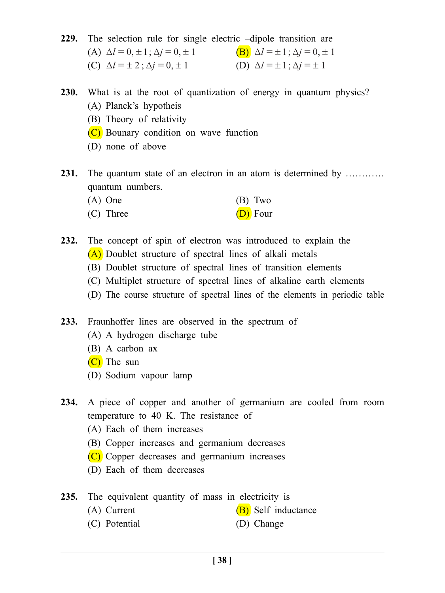**229.** The selection rule for single electric –dipole transition are (A)  $\Delta l = 0, \pm 1; \Delta j = 0, \pm 1$  (B)  $\Delta l = \pm 1; \Delta j = 0, \pm 1$ (C)  $\Delta l = \pm 2$ ;  $\Delta j = 0, \pm 1$  (D)  $\Delta l = \pm 1$ ;  $\Delta j = \pm 1$ 

- **230.** What is at the root of quantization of energy in quantum physics? (A) Planck's hypotheis
	- (B) Theory of relativity
	- (C) Bounary condition on wave function
	- (D) none of above
- **231.** The quantum state of an electron in an atom is determined by ………… quantum numbers.
	- (A) One (B) Two (C) Three  $(D)$  Four
- **232.** The concept of spin of electron was introduced to explain the (A) Doublet structure of spectral lines of alkali metals
	- (B) Doublet structure of spectral lines of transition elements
	- (C) Multiplet structure of spectral lines of alkaline earth elements
	- (D) The course structure of spectral lines of the elements in periodic table
- **233.** Fraunhoffer lines are observed in the spectrum of
	- (A) A hydrogen discharge tube
	- (B) A carbon ax
	- (C) The sun
	- (D) Sodium vapour lamp
- **234.** A piece of copper and another of germanium are cooled from room temperature to 40 K. The resistance of
	- (A) Each of them increases
	- (B) Copper increases and germanium decreases
	- (C) Copper decreases and germanium increases
	- (D) Each of them decreases
- **235.** The equivalent quantity of mass in electricity is
	- (A) Current  $(B)$  Self inductance
	- (C) Potential (D) Change